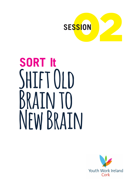

# **SORT It Shift Old Brain to New Brain**

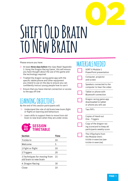

## **Shift Old Brain to New Brain**

Please ensure you have:

- w At least **three days before** the class Read 'Appendix 1: Using the Dragon Racing Game', this will ensure you have thought about the use of this game and the technology required
- $\triangleright$  Trialled the dragon racing game app with the specific tablet/phone and other equipment you intend to use on the day to ensure you can confidently instruct young people how to use it
- $\triangleright$  Ensure that you have internet connection or access to the app off-line

## **LEARNING OBJECTIVES**

By the end of this session participants will:

- $\triangleright$  Understand the role of old brain/new brain (fight or flight) on learning and behaviours
- $\triangleright$  Learn skills to support them to move from old brain to new brain when they are under stress



| <b>Section</b>                                          | Time |
|---------------------------------------------------------|------|
| Trickle In                                              | 10   |
| Welcome                                                 | 5    |
| 1. Fight or flight                                      | 10   |
| 2. Triggers                                             | 20   |
| 3. Techniques for moving from<br>old brain to new brain | 15   |
| 4. Dragon Racing                                        | 30   |
| lose                                                    |      |

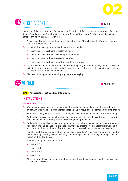



Last week's Take the Lesson was*: Keep an eye on the different things they learn in different places over the week, and report back next week on one new thing that they learn. Anything at all. It can be at home, it can be on a course, or with mates*

- $\triangleright$  As participants arrive, remind them of the 'Take the Lesson' from last week there are key questions written up on the slide
- $\triangleright$  Have four flipcharts up on a wall with the following headings
	- $\rightarrow$  I learn and solve problems by watching videos
	- $\rightarrow$  I learn and solve problems by talking to other people
	- $\rightarrow$  I learn and solve problems by reading articles
	- $\rightarrow$  I learn and solve problems by writing, doodling or drawing
- $\triangleright$  Ask participants to talk to you/others about something they learned this week, and to use a sticky to indicate how they learned it from the four options on the flipcharts – they can just put a sticky on the poster with the technique they used
- $\triangleright$  Discuss as young people are arriving any patterns emerging





#### **AIM Participants are calm and ready to engage**

#### **INSTRUCTIONS**

#### **MINDFUL MINUTE**

- $\triangleright$  Welcome the participants and remind them that at the beginning of each session we will do a 'mindful minute' which is a brief exercise that helps us to focus, become calm and ready to engage
- $\triangleright$  Explain that today we will practice a breathing exercise for one minute called 'square breathing'
- $\triangleright$  Explain that focussing on deep breathing has many benefits; it can help us relax and concentrate, and if we are anxious it is very helpful in reducing feelings of anxiety.
- $\triangleright$  Explain that during this exercise, participants should try to breathe deeply this means breathing right down into the rib cage so it expands out when you breathe – you can feel this is working if you place your hand on the top of your stomach and it moves in and out when you breathe.
- $\triangleright$  Point to the slide and explain that we will try 'square breathing' this means breathing in counting to four, holding counting to four, breathing out counting to four, and holding counting to four, and repeating this a few times.
- $\triangleright$  Talk the participants through the round:
	- $\rightarrow$  Inhale, 2, 3, 4
	- $\rightarrow$  Hold, 2, 3, 4
	- $\rightarrow$  Exhale 2, 3, 4
	- $\rightarrow$  Hold 2, 3, 4
- $\triangleright$  After a minute of this, ring the bell/mindfulness app, thank the participants and tell them we'll get started with the session.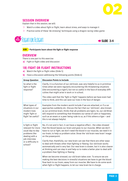

#### **SESSION OVERVIEW**

Explain that in this session, we will:

- $\triangleright$  Watch a video about fight or flight, learn about stress, and ways to manage it
- $\triangleright$  Practice some of these 'de-stressing' techniques using a dragon-racing video game

## **100 • FIGHT OR FLIGHT**



#### **AIM Participants learn about the fight or flight response**

#### **OVERVIEW**

There is one part to this exercise:

**a)** Fight or flight video and discussion

#### **1B) FIGHT OR FLIGHT INSTRUCTIONS**

- **a)** Watch the fight or flight video (Slide 5)
- **b)** Have a discussion addressing the following points (Slide 6)

| <b>Group Question</b>                                                                                                                            | <b>Discussion Points to Include</b>                                                                                                                                                                                                                                                                                                                                                                                                            |  |  |  |  |  |
|--------------------------------------------------------------------------------------------------------------------------------------------------|------------------------------------------------------------------------------------------------------------------------------------------------------------------------------------------------------------------------------------------------------------------------------------------------------------------------------------------------------------------------------------------------------------------------------------------------|--|--|--|--|--|
| So what is the<br>fight or flight<br>response?                                                                                                   | Clarify, it is a function of our old brain, was very helpful to us in primitive<br>times when we were regularly encountering life-threatening situations<br>(like encountering a tiger!), but not so useful in the face of everyday diffi-<br>culties that might arise in work or in school.<br>The video said that the 'fight or flight' happens before we have even had<br>time to think, and this can save our lives in the face of danger. |  |  |  |  |  |
|                                                                                                                                                  |                                                                                                                                                                                                                                                                                                                                                                                                                                                |  |  |  |  |  |
| What types of<br>situations in our<br>modern lives<br>might 'fight or<br>flight' be useful?                                                      | Examples from the modern world include if we are attacked, or if a car<br>approaches suddenly etc. Discuss the fact that our 'old brain', also known<br>as our primitive brain, thinks that all problems are tigers. So, our old Brian<br>will respond to something that threatens our sense of calm or happiness,<br>such as an exam or a peer being rude to us, as if this where a tiger - and<br>this is not always helpful.                |  |  |  |  |  |
| Is fight or flight<br>relevant for more<br>usual day-to-day<br>problems like<br>dealing with a<br>job interview<br>or a difficulty in<br>school? | No, it's not and in fact, it can have a negative effect the video showed<br>that the blood leaves our brain and goes to our muscles. When we don't<br>have to run or fight, we don't need the blood in our muscles, we need it in<br>our brain, to help us problem solve. Show the 'old brain new brain' image<br>on the powerpoint.                                                                                                           |  |  |  |  |  |
|                                                                                                                                                  | Clarify that, thankfully, our new brain can see that there are other ways<br>to deal with threats other than fighting or fleeing. Our old brain works<br>automatically and is very fast. Our new brain is slower, but it is also clearer<br>at thinking and can step in and help us to make a better plan to deal with<br>a problem than fighting or fleeing.                                                                                  |  |  |  |  |  |
|                                                                                                                                                  | When we become stressed, our old brain takes over. To ensure we are<br>making the best decisions in stressful situations we have to get the blood<br>flow back to our brain, away from our muscles. We have to do some work<br>when fight or flight happens, to let our new brain be in charge.                                                                                                                                                |  |  |  |  |  |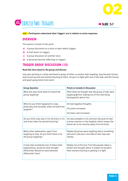



**AIM Participants understand what 'triggers' are in relation to stress responses** 

#### **OVERVIEW**

This session consists of two parts:

- **a)** A group discussion on a story to learn about triggers
- **b)** A brief teach on triggers
- **c)** A group discussion on another story
- **d)** A personal exercise reflecting on triggers

#### **TRIGGER GROUP DISCUSSION (10)**

#### **Read this story aloud to the group and discuss:**

*Joey was working in a shop and heard a group of other co-worker lads laughing. Joey became furious and turned around and started shouting at them. He got in a fight with one of the lads, and felt furious and upset going home from work.*

| <b>Group Question</b>                                                                                                                       | <b>Points to Include in Discussion</b>                                                                                                                |
|---------------------------------------------------------------------------------------------------------------------------------------------|-------------------------------------------------------------------------------------------------------------------------------------------------------|
| What did Joey think when he heard the<br>group laughing?                                                                                    | Most likely he thought that the group of lads were<br>laughing at him, making fun of him and being<br>disrespectful about him.                        |
| What do you think happened to Joey,<br>physically and mentally, when he heard the<br>laughter?                                              | He had negative thoughts.<br>His pulse increased.<br>His heart rate increased.                                                                        |
| Do you think Joey was in his old brain or his<br>new brain when he started shouting?                                                        | He was probably in his old brain because he had<br>a stress reaction to the laughter which means the<br>blood ran to his muscles away from his brain. |
| What other explanation, apart from<br>laughing at Joey, do you think there is for<br>the group laughing?                                    | Maybe the group were laughing about something<br>else and it was just coincidence that Joey was<br>nearby.                                            |
| If Joey had considered one of these other<br>explanations, would he have thought<br>differently? Would he have behaved<br>differently? How? | Maybe not at first but if he had paused, taken a<br>breath and thought about it maybe he wouldn't<br>have started shouting or getting in a fight.     |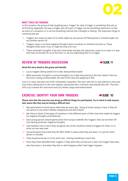#### **BRIEF TEACH ON TRIGGERS**

In this situation, the group of lads laughing was a 'trigger' for Joey. A trigger is something that sets us off thinking negatively, the way a trigger sets off a gun. A trigger can be something external to us like an event or a situation, or it can be something internal like a thought or feeling. The important things to communicate are:

- $\triangleright$  Triggers are unique to each of us; what might set one person off feeling bad or stressed might not set another person off.
- $\triangleright$  Triggers cause us to have negative thoughts about ourselves or situations around us. These thoughts often aren't true, or might be only a bit true
- $\triangleright$  These automatic thoughts, if we don't slow down and get into new brain, cause us to react in a way that may not be best for us at the time, i.e. we are responding like it's a trigger

#### **REVIEW OF TRIGGERS DISCUSSION EXAMPLE 11**

#### **Read this story aloud to the group and identify:**

- $\triangleright$  Lucy's triggers (being asked not to talk, being embarrassed)
- $\triangleright$  What automatic thoughts or untrue thoughts Lucy might have had (e.g. the tutor doesn't like me, the tutor is being unreasonable, the rest of the class are laughing at me)

*Lucy is in class, and asks one of her classmates a question. The tutor asks her to stop talking in class and Lucy starts talking back to the tutor angrily, saying that she's a dictator and nobody likes her. The tutor tells Lucy to leave the classroom and Lucy leaves, angry and embarrassed.*

#### **EXERCISE: IDENTIFY YOUR OWN TRIGGERS → SLIDE 10**

#### **Please note that this exercise may bring up difficult things for participants. Try to check in with anyone who seems like they may be having a difficult time**

- $\triangleright$  Ask participants to think about what they do every day... being at home, being in class, if they do any sports or any other hobbies, hanging around with friends
- $\triangleright$  Ask them to think of the types of situations in the different parts of their lives that might be triggers for negative thoughts and behaviour
- $\triangleright$  Each young person should spend some time trying to identify the 'triggers' that can set them off into having automatic negative thoughts.
- $\triangleright$  Use Handout Two to see if they recognise any of the situations listed as triggers for them, or to write out any new ones
- $\triangleright$  Let participants know that they DO NOT HAVE to share what they put down, it is just for themselves to consider
- $\triangleright$  They should write yes or no for each one... writing something in each line
- $\triangleright$  Once they have identified their triggers, if they wish they can discuss in pairs one trigger they have, why they have it, and what they feel or what happens when that trigger happens

![](_page_5_Picture_20.jpeg)

![](_page_5_Picture_21.jpeg)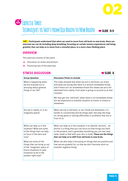![](_page_6_Picture_0.jpeg)

## **15 MIN Exercise Three:**  TECHNIQUES TO SHIFT FROM OLD BRAIN TO NEW BRAIN → SLIDE 8-9

**AIM Participants understand that when we need to move from old brain to new brain, there are exercises we can do including deep breathing, focussing on certain sensory experiences and being grateful, that can help us to move from a stressful place, to a more clear-thinking place**

#### **OVERVIEW**

This exercise consists of two parts:

- **a)** Discussion on stress and anchors
- **b)** Practicing two of the exercises

#### **STRESS DISCUSSION**

| <b>Group Question</b>                                                                                                                                             | <b>Discussion Points to Include</b>                                                                                                                                                                                                                                                                                            |  |  |  |  |
|-------------------------------------------------------------------------------------------------------------------------------------------------------------------|--------------------------------------------------------------------------------------------------------------------------------------------------------------------------------------------------------------------------------------------------------------------------------------------------------------------------------|--|--|--|--|
| What is happening when<br>we are stressed out or<br>worrying about general<br>things in our life?                                                                 | The video showed that when we are in old brain, our brain<br>and body are acting like there is a serious immediate threat,<br>and if there isn't an immediate threat this means we are a bit<br>detached from reality, from what is going on around us at that<br>moment.                                                      |  |  |  |  |
|                                                                                                                                                                   | We may get into 'old brain' when there is no immediate threat<br>but we experience a stressful situation at home, in school or<br>elsewhere.                                                                                                                                                                                   |  |  |  |  |
| Are we in reality, or in an<br>imaginary place?                                                                                                                   | When we are in old brain, or our minds are elsewhere, it is<br>harder to concentrate and do things well, like play the drag-<br>on-racing game or solving difficulties or problems that are in<br>front of us.                                                                                                                 |  |  |  |  |
| What can help us in this<br>situation? What are some<br>of the things that can help<br>us focus in the here and<br>now?                                           | What can help us in this situation is to identify 'anchors' an<br>anchor is a thing that you can focus on that brings you back<br>to the present, and is generally something you can see, hear,<br>taste, smell or feel with your skin or body. These are the things<br>that can help us to shift from old brain to new brain. |  |  |  |  |
| What are some of the<br>things that can bring us out<br>of the 'imaginary' space of<br>future situations or past<br>situations to be in the<br>present right now? | What can also help is focussing on things that are positive and<br>that we are grateful for, so that we don't become stuck on<br>stressful negative things.                                                                                                                                                                    |  |  |  |  |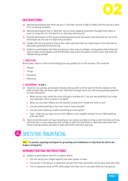![](_page_7_Picture_0.jpeg)

#### **INSTRUCTIONS**

- **a)** Remind participants that when we are in 'old brain' we are in fight or flight, and this can be a barrier to us solving problems
- **b)** Remind participants that in 'old brain' we can have negative automatic thoughts that make us react in a way that isn't the best for us, like Joey and Lucy did
- **c)** Remind participants of the square-breathing exercise we did earlier and name this as one of the techniques we can use in a high-stress situation
- **d)** Explain that we are going to look at two other exercises that can help bring us from old brain to new brain; gratitude and anchoring
- **e)** Explain to participants that they are going to have a go at a dragon racing game where they will have to learn to be relaxed, and that the best way to win the game is to be in your new brain, be relaxed and grounded

#### **1. GRATITUDE**

Write down, name or think of three things you are grateful for at the moment. This could be:

- $\triangleright$  People
- $\triangleright$  Things
- $\triangleright$  Situations
- $\triangleright$  Memories

#### **2. ANCHORING → SLIDE 9**

- **a**) In pairs or as a group, participants should come up with a list for each of the five senses on the slide of what they can sense right now. Talk them through each one, with some guiding questions for their discussion:
	- $\rightarrow$  What can you see, inside the room, through a window etc.? Can you see anything if you close your eyes (yes, there is patterns of light)?
	- $\rightarrow$  What can you hear? Where are the sounds coming from? Inside the room or out?
	- $\rightarrow$  Can you smell anything in the room now or from yourself?
	- $\rightarrow$  Can you taste anything, maybe something you ate earlier?
	- $\rightarrow$  Feel what can you feel, on your skin? Where is your weight resting? Can you feel anything with your feet?
- **b**) Have a brief discussion on how focussing on our senses can help to bring us into the here and now, and how this is a very important tool to help us shift from old brain to new brain and move from stress to being present and able to deal with stuff in the here and now.

## **35 MIN Exercise Four: Dragon Racing**

**AIM To practice applying techniques for grounding and mindfulness to help them do well in the dragon racing game.**

#### **DEMONSTRATION INSTRUCTIONS**

- **a)** Explain to participants that this is a game where:
	- $\rightarrow$  You are racing your dragon against one other player or team
	- $\rightarrow$  The winner is the person or team that can get their heart and stress rate to slow down the most
	- $\rightarrow$  This is measured using the PIP, each player will have one to use when they are having a go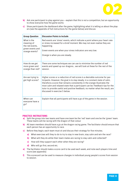![](_page_8_Picture_0.jpeg)

- **b)** Ask one participant to play against you explain that this is not a competition, but an opportunity to show everyone how the game works
- **c)** Show participants the dashboard after the game, highlighting what it is telling us about the players (see the appendix of full instructions for the game below) and discuss

| <b>Group Question</b>                                                              | <b>Discussion Points to Include</b>                                                                                                                                                                                                                                                                                                                                                                                                        |
|------------------------------------------------------------------------------------|--------------------------------------------------------------------------------------------------------------------------------------------------------------------------------------------------------------------------------------------------------------------------------------------------------------------------------------------------------------------------------------------------------------------------------------------|
| What is the<br>meaning of<br>the red events,<br>green events and<br>orange events? | Red events are 'stress' events, which indicate a point where your heart rate<br>or stress increased for a brief moment. We may not even realise they are<br>happening.<br>Green events are when your stress indicators are very low.<br>Orange is when you are steady.                                                                                                                                                                     |
| How do we get<br>more green and<br>orange than red?                                | There are some techniques we can use to minimise the number of red<br>events and speed up our dragons we will look at these for the rest of the<br>session.                                                                                                                                                                                                                                                                                |
| Are we trying to<br>get high scores?                                               | Higher scores or a reduction of red scores is a desirable outcome for par-<br>ticipants. However, the goal is to stay steady, in a constant state of calm,<br>therefore a score that remains consistently in the orange illustrates the<br>most calm and relaxed state that a participant can be. Feedback tips for the<br>tutor to provide useful and positive feedback, no matter what the result, are<br>discussed in exercise 5 below. |
| When can<br>everyone have a<br>go?                                                 | Explain that all participants will have a go of the game in the session.                                                                                                                                                                                                                                                                                                                                                                   |

#### **PRACTICE INSTRUCTIONS**

- **a)** Split the group into two teams and have one team be the 'red' team and one be the 'green' team. These teams will be racing with the dragon of that colour
- **b)** All team members should have a go at the dragon racing game. The facilitator should ensure that each person has an opportunity to race.
- **c)** Before they begin, each team must sit and discuss their strategy for five minutes;
	- **a)** What exercises will they to do to try to stay in new brain, stay calm and win the race?
	- **b)** What will they do while their team mates are racing to stay calm and collected?
	- **c)** How will they support each other when they are racing?
	- **d)** Who will go first, second etc.
- **e)** The facilitator should make a score card to be used each week, and note each players time and score (see appendix)
- **f)** This scorecard can be used to measure changes in individual young people's scores from session to session.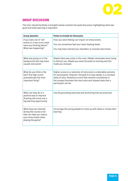![](_page_9_Picture_0.jpeg)

#### **GROUP DISCUSSION**

The tutor should facilitate a strengths-based, solution-focussed discussion, highlighting what was good and what learning is important:

| <b>Group Question</b>                                                                                                         | <b>Points to Include for Discussion</b>                                                                                                                                                                                                                                                            |
|-------------------------------------------------------------------------------------------------------------------------------|----------------------------------------------------------------------------------------------------------------------------------------------------------------------------------------------------------------------------------------------------------------------------------------------------|
| If you had a lot of 'red'<br>events or a low score, what<br>were you thinking about?<br>What was happening?                   | How you were feeling can impact on stress events.<br>You can sometimes feel your heart beating faster.<br>You may have noticed your shoulders or muscles were tense.                                                                                                                               |
| What was going on in the<br>background that may have<br>caused red events?                                                    | Maybe there was noise in the room. Maybe classmates were trying<br>to distract you. Maybe you were focussed on winning and this<br>made you stressed.                                                                                                                                              |
| What do you think is the<br>best? Are high scores<br>automatically the most<br>important thing?                               | Higher scores or a reduction of red scores is a desirable outcome<br>for participants. However, the goal is to stay steady, in a constant<br>state of calm, therefore a score that remains consistently in<br>the orange illustrates the most calm and relaxed state that a<br>participant can be. |
| What can they do in a<br>positive way to improve<br>(framing red scores are a<br>big learning opportunity)                    | Use the grounding exercises and anchoring that we practiced.                                                                                                                                                                                                                                       |
| What have you learned<br>during the course so far<br>that can help you reduce<br>your stress levels when<br>playing the game? | Encourage the young people to come up with ideas or review their<br>learning                                                                                                                                                                                                                       |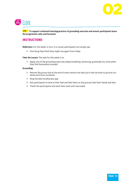![](_page_10_Picture_0.jpeg)

![](_page_10_Picture_1.jpeg)

**AIM To support continued learning/practice of grounding exercises and ensure participants leave the programme calm and focussed.**

#### **INSTRUCTIONS**

**Reflection:** For this week, in turn, in a round, participants can simply say:

 $\rightarrow$  One thing they think they might use again from today

**Take the Lesson:** The task for this week is to:

 $\rightarrow$  Apply one of the grounding exercises (deep breathing, anchoring, gratitude) at a time when they find themselves stressed

#### **Grounding:**

- $\rightarrow$  Remind the group that at the end of every session we take just a few seconds to ground ourselves and focus ourselves
- $\rightarrow$  Ring the bell/mindfulness app
- $\rightarrow$  Ask participants to look at their feet and feel them on the ground, feel their hands and feet.
- $\rightarrow$  Thank the participants and wish them well until next week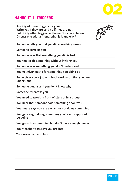![](_page_11_Picture_0.jpeg)

### **HANDOUT 1: TRIGGERS**

| Are any of these triggers for you?<br>Write yes if they are, and no if they are not<br>Put in any other triggers in the empty spaces below<br>Discuss one with a friend: what is it and why? | $\mathbf{z}$ |
|----------------------------------------------------------------------------------------------------------------------------------------------------------------------------------------------|--------------|
| Someone tells you that you did something wrong                                                                                                                                               |              |
| Someone corrects you                                                                                                                                                                         |              |
| Someone says that something you did is bad                                                                                                                                                   |              |
| Your mates do something without inviting you                                                                                                                                                 |              |
| Someone says something you don't understand                                                                                                                                                  |              |
| You get given out to for something you didn't do                                                                                                                                             |              |
| Some gives you a job or school work to do that you don't<br>understand                                                                                                                       |              |
| Someone laughs and you don't know why                                                                                                                                                        |              |
| Someone threatens you                                                                                                                                                                        |              |
| You need to speak in front of class or in a group                                                                                                                                            |              |
| You hear that someone said something about you                                                                                                                                               |              |
| Your mate says you are a wuss for not doing something                                                                                                                                        |              |
| You get caught doing something you're not supposed to<br>be doing                                                                                                                            |              |
| You go to buy something but don't have enough money                                                                                                                                          |              |
| Your teacher/boss says you are late                                                                                                                                                          |              |
| Your mate cancels plans                                                                                                                                                                      |              |
|                                                                                                                                                                                              |              |
|                                                                                                                                                                                              |              |
|                                                                                                                                                                                              |              |
|                                                                                                                                                                                              |              |
|                                                                                                                                                                                              |              |
|                                                                                                                                                                                              |              |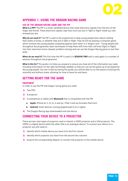![](_page_12_Picture_0.jpeg)

#### **APPENDIX 1: USING THE DRAGON RACING GAME**

#### **USE OF THE DRAGON RACING GAME AND THE PIP**

**What is a PIP?** The PIP is a small, handheld device that reads electronic signals from the skin of the finger and thumb. These electronic signals read how much you are in 'fight or flight' mode e.g. how stressed you are.

**Why do we need it?** The PIP is used in the programme to help young people learn about reading their levels of stress, or whether they are in fight or flight. They do this by playing a computer game which involves two young people competing against each other in a 'dragon race'. Young people will, throughout the programme, learn techniques to help them shift from their old brain (fight or flight) into their new brain (more relaxed, problem solving) and can use the Dragon Racing game to test their skills.

**When do we need it?** This first time the PIP is used is in **SESSION TWO** and is used again in a number of sessions throughout the programme.

**What is this for?** This guide is to help you prepare to ensure you have all of the information you need, including information on the right technology needed, so that you can set the game up to be played by the young people. Our aim is that by having this guide, you will be able to run the session involving this smoothly and without stress, allowing for time to have fun and learn.

#### **GETTING READY FOR THE GAME**

#### **EQUIPMENT**

In order to use the PIP and dragon racing game you need:

- **1)** Two PIPs
- **2)** A projector
- **3)** A smartphone or tablet with **Bluetooth** that is compatible with the PIP:
	- **a. Apple:** iPhone 4s, 5, 5s, 5c, 6 and up / iPad 3 and up (includes iPad mini)
	- **b. Android:** Smart devices running gingerbread (2.3) or higher.
- **4)** The Dragon-Racing App downloaded onto the device

#### **CONNECTING YOUR DEVICE TO A PROJECTOR**

There are two main types of projector used in Ireland, a HDMI projector and a VGA projector. The HDMI is a digital device while the older VGA is an analogue device. To connect your device to a projector you will need to:

- **1)** Identify which mobile device you have from the first column
- **2)** Identify which projector you have from the second two columns
- **3)** Acquire the corresponding adaptor to connect the projector to the mobile device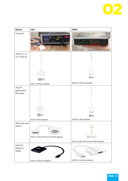![](_page_13_Picture_0.jpeg)

| <b>Device</b>                                   | <b>VGA</b>                                                                             | <b>HDMI</b>                          |
|-------------------------------------------------|----------------------------------------------------------------------------------------|--------------------------------------|
| Projector                                       | $\bullet \bullet \circ$<br>四<br><b>VGA PORT</b><br><b>InFocus</b><br>QLP<br>k connecto |                                      |
| iPhone 5, 5s,<br>5c, 6 and up                   | $\cdot \circledast \cdot -$                                                            |                                      |
|                                                 | VGA to iPhone adapter                                                                  | HDMI to iPhone adapter               |
| iPad 4 <sup>th</sup><br>generation<br>and later | [10000]<br>VGA to iPad adapter                                                         | HDMI to iPad adapter                 |
| iPhone 4s and<br>iPad 3                         | <b>WW</b><br>VGA to older iPhone and iPad adapter                                      | VGA to older iPhone and iPad adapter |
| Android<br>phone or<br>tablet                   |                                                                                        |                                      |
|                                                 | VGA to Android adapter                                                                 | <b>HDMI</b> to Android adapter       |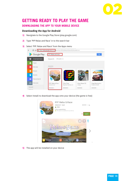![](_page_14_Picture_0.jpeg)

## **GETTING READY TO PLAY THE GAME**

#### **DOWNLOADING THE APP TO YOUR MOBILE DEVICE**

#### **Downloading the App for Android**

- **1)** Navigtate to the Google Play Store (play.google.com)
- **2)** Type 'PIP Relax and Race' in to the search bar
- **3)** Select 'PIP: Relax and Race' from the Apps menu

![](_page_14_Picture_7.jpeg)

**4)** Select Install to download the app onto your device (the game is free)

![](_page_14_Picture_9.jpeg)

**5)** The app will be installed on your device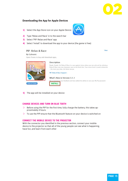![](_page_15_Picture_0.jpeg)

#### **Downloading the App for Apple Devices**

- **1)** Select the App Store icon on your Apple Device
- **2)** Type 'Relax and Race' in to the search bar
- **3)** Select 'PIP: Relax and Race' app
- **4)** Select 'Install' to download the app to your device (the game is free)

#### PIP: Relax & Race

**By Galvanic** 

View

![](_page_15_Picture_8.jpeg)

**5)** The app will be installed on your device

#### **CHARGE DEVICES AND TURN ON BLUE TOOTH**

- $\triangleright$  Before using the PIP for the first time, fully charge the battery, this takes approximately 4 hours.
- $\triangleright$  To use the PIP ensure that the Bluetooth feature on your device is switched on

#### **CONNECT THE MOBILE DEVICE TO THE PROJECTOR**

With the connector you identified in the previous section, connect your mobile device to the projector so that all of the young people can see what is happening, have fun, and learn from each other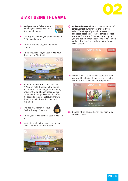![](_page_16_Picture_0.jpeg)

## **START USING THE GAME**

**1)** Navigate to the Relax & Race Icon on your device and select it to launch the app

![](_page_16_Picture_3.jpeg)

- **2)** The app will remind you that you need a PIP to use the app
- **3)** Select 'Continue' to go to the home screen
- **4)** Select 'Devices' to sync your PIP to your device using Bluetooth

![](_page_16_Picture_7.jpeg)

- **5)** Activate the **first PIP**. To activate the PIP simply hold it between the thumb and middle or index finger of one hand, ensuring the tip of each finger makes contact with the gold sensor disc. After 3-6 seconds, the green status light will illuminate to indicate that the PIP is turned on.
- **6)** The app will search for your Device through Bluetooth

![](_page_16_Picture_10.jpeg)

- **7)** Select your PIP to connect your PIP to the ap
- **8)** Navigate back to the Home screen and select the 'New Session' option

![](_page_16_Picture_13.jpeg)

**9) Activate the Second PIP:** On the 'Game Mode' screen, select 'Two Players' mode. If you select 'Two Players' you will be asked to connect a second PIP to your device. Repeat steps 5 – 8 to add a PIP when the app gives you the option. When the second PIP has been added click 'Next' to continue to the 'Select Level' screen.

![](_page_16_Picture_15.jpeg)

**10)** On the 'Select Level' screen, select the level you want by placing the desired level in the centre of the screen and clicking on 'Next'

![](_page_16_Picture_17.jpeg)

**11)** Choose which colour dragon you wish to be and click 'Next'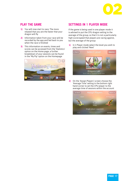![](_page_17_Picture_0.jpeg)

#### **PLAY THE GAME**

- **1)** You will now start to race. The more relaxed that you are the faster that your dragon will fly
- **2)** Information taken from your race will be recorded by the app and fed back to you when the race is finished
- **3)** This information on events, times and scores can be accessed from the 'Statistics' option on the Home page, a further breakdown of your sessions can be found in the 'My Pip' option on the Homepage

![](_page_17_Picture_5.jpeg)

#### **SETTINGS IN 1 PLAYER MODE**

If the game is being used in one player mode it is advised to put the CPU dragon setting to the average of the group, so that it is not a particularly high score/speed that players are racing against, but the average of the group

**1)** In 1 Player mode select the level you wish to play and clicked 'Next'

![](_page_17_Picture_9.jpeg)

**2)** On the 'Assign Players' screen choose the 'Average Time' setting in the bottom right hand corner to set the CPU player to the average time of sessions within the account

![](_page_17_Picture_11.jpeg)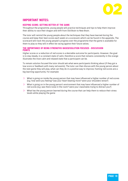![](_page_18_Picture_0.jpeg)

#### **IMPORTANT NOTES:**

#### **KEEPING SCORE: GETTING BETTER AT THE GAME**

Throughout the programme, young people will practice techniques and tips to help them improve their ability to race their dragon and shift from Old Brain to New Brain.

The tutor will remind the young people about the techniques that they have learned during the course and keep their best scores each week on a scorecard, which can be found in the appendix. The scorecard will track the young people's progress over the programme that the game is available for them to play so they will in effect be racing against their future selves.

#### **THE IMPORTANCE OF BEING STRENGTHS BASED/SOLUTION FOCUSED - DISCUSSION POINTS**

Higher scores or a reduction of red scores is a desirable outcome for participants. However, the goal is to stay steady, in a constant state of calm, therefore a score that remains consistently in the orange illustrates the most calm and relaxed state that a participant can be.

To remain solution focused the tutor should ask what were participants thinking about (if they got a low score or feedback with many red events). The tutor can then discuss with the young person about the next game they will play, what can they do in a positive way to improve, framing red scores are a big learning opportunity. For example:

- $\triangleright$  What is going on inside the young person that may have influenced a higher number of red scores (e.g. how were you feeling? was your heart beating more? were your shoulders tense?)
- $\triangleright$  What is going on in the young person's environment that may have influenced a higher number of red scores (e.g. was there noise in the room? were your classmates trying to distract you?)
- $\triangleright$  What has the young person learned during the course that can help them to reduce their stress levels while playing the game